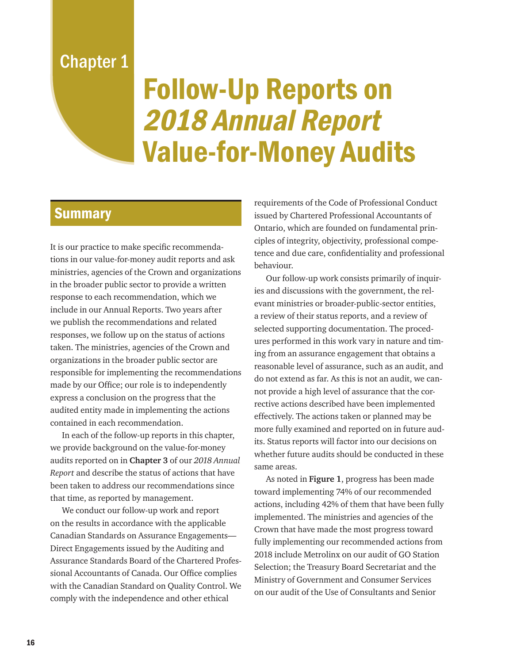## Chapter 1

## Follow-Up Reports on 2018 Annual Report Value-for-Money Audits

## **Summary**

It is our practice to make specific recommendations in our value-for-money audit reports and ask ministries, agencies of the Crown and organizations in the broader public sector to provide a written response to each recommendation, which we include in our Annual Reports. Two years after we publish the recommendations and related responses, we follow up on the status of actions taken. The ministries, agencies of the Crown and organizations in the broader public sector are responsible for implementing the recommendations made by our Office; our role is to independently express a conclusion on the progress that the audited entity made in implementing the actions contained in each recommendation.

In each of the follow-up reports in this chapter, we provide background on the value-for-money audits reported on in **Chapter 3** of our *2018 Annual Report* and describe the status of actions that have been taken to address our recommendations since that time, as reported by management.

We conduct our follow-up work and report on the results in accordance with the applicable Canadian Standards on Assurance Engagements— Direct Engagements issued by the Auditing and Assurance Standards Board of the Chartered Professional Accountants of Canada. Our Office complies with the Canadian Standard on Quality Control. We comply with the independence and other ethical

requirements of the Code of Professional Conduct issued by Chartered Professional Accountants of Ontario, which are founded on fundamental principles of integrity, objectivity, professional competence and due care, confidentiality and professional behaviour.

Our follow-up work consists primarily of inquiries and discussions with the government, the relevant ministries or broader-public-sector entities, a review of their status reports, and a review of selected supporting documentation. The procedures performed in this work vary in nature and timing from an assurance engagement that obtains a reasonable level of assurance, such as an audit, and do not extend as far. As this is not an audit, we cannot provide a high level of assurance that the corrective actions described have been implemented effectively. The actions taken or planned may be more fully examined and reported on in future audits. Status reports will factor into our decisions on whether future audits should be conducted in these same areas.

As noted in **Figure 1**, progress has been made toward implementing 74% of our recommended actions, including 42% of them that have been fully implemented. The ministries and agencies of the Crown that have made the most progress toward fully implementing our recommended actions from 2018 include Metrolinx on our audit of GO Station Selection; the Treasury Board Secretariat and the Ministry of Government and Consumer Services on our audit of the Use of Consultants and Senior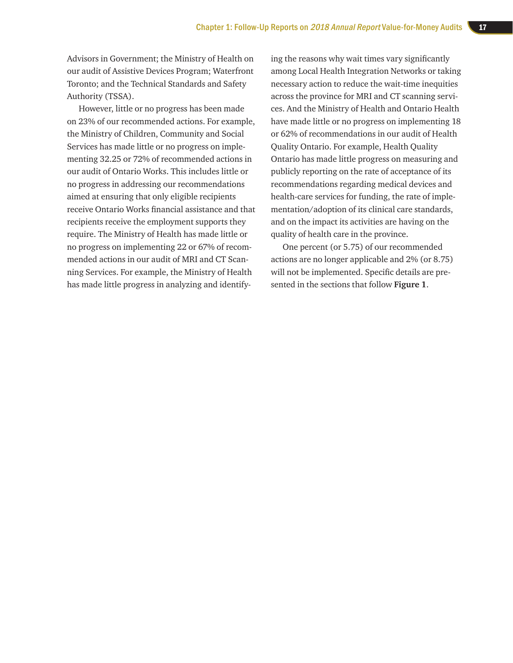Advisors in Government; the Ministry of Health on our audit of Assistive Devices Program; Waterfront Toronto; and the Technical Standards and Safety Authority (TSSA).

However, little or no progress has been made on 23% of our recommended actions. For example, the Ministry of Children, Community and Social Services has made little or no progress on implementing 32.25 or 72% of recommended actions in our audit of Ontario Works. This includes little or no progress in addressing our recommendations aimed at ensuring that only eligible recipients receive Ontario Works financial assistance and that recipients receive the employment supports they require. The Ministry of Health has made little or no progress on implementing 22 or 67% of recommended actions in our audit of MRI and CT Scanning Services. For example, the Ministry of Health has made little progress in analyzing and identify-

ing the reasons why wait times vary significantly among Local Health Integration Networks or taking necessary action to reduce the wait-time inequities across the province for MRI and CT scanning services. And the Ministry of Health and Ontario Health have made little or no progress on implementing 18 or 62% of recommendations in our audit of Health Quality Ontario. For example, Health Quality Ontario has made little progress on measuring and publicly reporting on the rate of acceptance of its recommendations regarding medical devices and health-care services for funding, the rate of implementation/adoption of its clinical care standards, and on the impact its activities are having on the quality of health care in the province.

One percent (or 5.75) of our recommended actions are no longer applicable and 2% (or 8.75) will not be implemented. Specific details are presented in the sections that follow **Figure 1**.